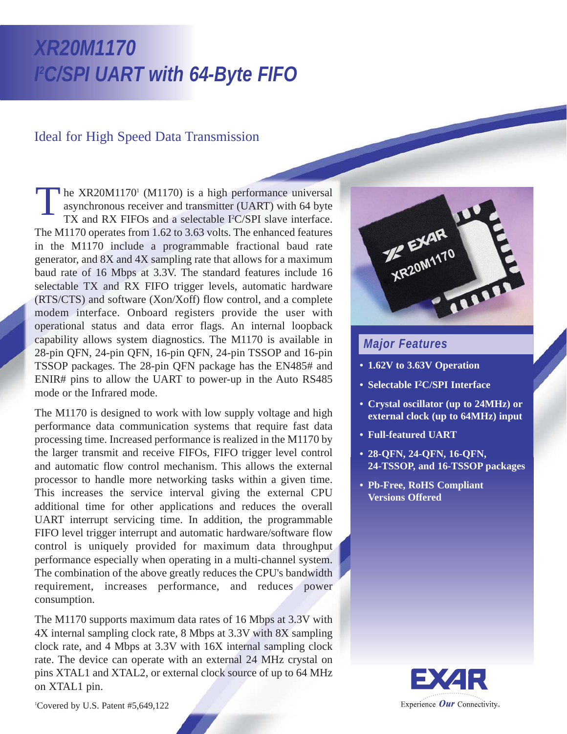# *XR20M1170 I 2 C/SPI UART with 64-Byte FIFO*

## Ideal for High Speed Data Transmission

he XR20M1170 $\degree$  (M1170) is a high performance universal asynchronous receiver and transmitter (UART) with 64 byte TX and RX FIFOs and a selectable I<sup>2</sup>C/SPI slave interface. The M1170 operates from 1.62 to 3.63 volts. The enhanced features in the M1170 include a programmable fractional baud rate generator, and 8X and 4X sampling rate that allows for a maximum baud rate of 16 Mbps at 3.3V. The standard features include 16 selectable TX and RX FIFO trigger levels, automatic hardware (RTS/CTS) and software (Xon/Xoff) flow control, and a complete modem interface. Onboard registers provide the user with operational status and data error flags. An internal loopback capability allows system diagnostics. The M1170 is available in 28-pin QFN, 24-pin QFN, 16-pin QFN, 24-pin TSSOP and 16-pin TSSOP packages. The 28-pin QFN package has the EN485# and ENIR# pins to allow the UART to power-up in the Auto RS485 mode or the Infrared mode. T

The M1170 is designed to work with low supply voltage and high performance data communication systems that require fast data processing time. Increased performance is realized in the M1170 by the larger transmit and receive FIFOs, FIFO trigger level control and automatic flow control mechanism. This allows the external processor to handle more networking tasks within a given time. This increases the service interval giving the external CPU additional time for other applications and reduces the overall UART interrupt servicing time. In addition, the programmable FIFO level trigger interrupt and automatic hardware/software flow control is uniquely provided for maximum data throughput performance especially when operating in a multi-channel system. The combination of the above greatly reduces the CPU's bandwidth requirement, increases performance, and reduces power consumption.

The M1170 supports maximum data rates of 16 Mbps at 3.3V with 4X internal sampling clock rate, 8 Mbps at 3.3V with 8X sampling clock rate, and 4 Mbps at 3.3V with 16X internal sampling clock rate. The device can operate with an external 24 MHz crystal on pins XTAL1 and XTAL2, or external clock source of up to 64 MHz on XTAL1 pin.



## *Major Features*

- **1.62V to 3.63V Operation**
- **Selectable I2C/SPI Interface**
- **Crystal oscillator (up to 24MHz) or external clock (up to 64MHz) input**
- **Full-featured UART**
- **28-QFN, 24-QFN, 16-QFN, 24-TSSOP, and 16-TSSOP packages**
- **Pb-Free, RoHS Compliant Versions Offered**



1 Covered by U.S. Patent #5,649,122